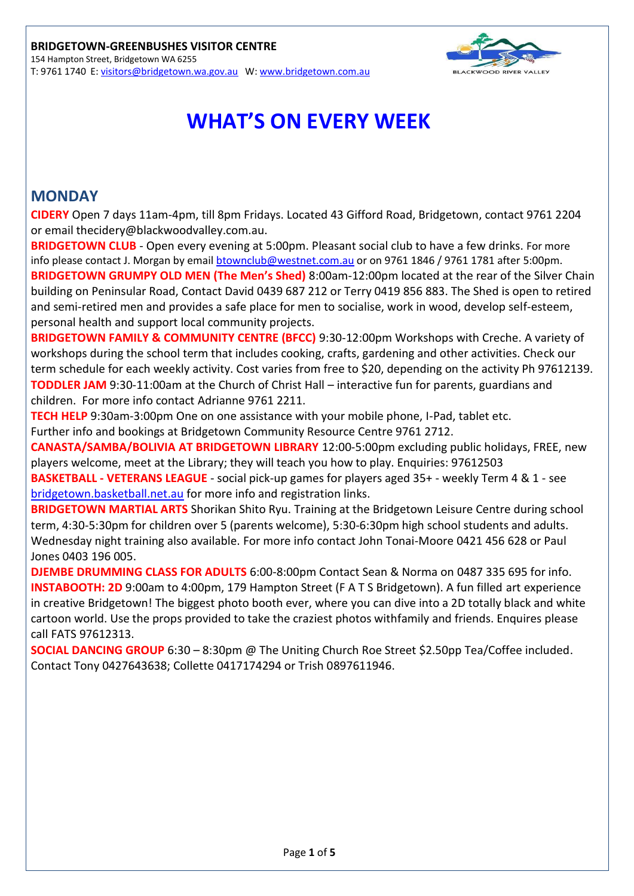

# **WHAT'S ON EVERY WEEK**

## **MONDAY**

**CIDERY** Open 7 days 11am-4pm, till 8pm Fridays. Located 43 Gifford Road, Bridgetown, contact 9761 2204 or email [thecidery@blackwoodvalley.com.au.](mailto:thecidery@blackwoodvalley.com.au)

**BRIDGETOWN CLUB** - Open every evening at 5:00pm. Pleasant social club to have a few drinks. For more info please contact J. Morgan by email **btownclub@westnet.com.au** or on 9761 1846 / 9761 1781 after 5:00pm. **BRIDGETOWN GRUMPY OLD MEN (The Men's Shed)** 8:00am-12:00pm located at the rear of the Silver Chain building on Peninsular Road, Contact David 0439 687 212 or Terry 0419 856 883. The Shed is open to retired and semi-retired men and provides a safe place for men to socialise, work in wood, develop self-esteem, personal health and support local community projects.

**BRIDGETOWN FAMILY & COMMUNITY CENTRE (BFCC)** 9:30-12:00pm Workshops with Creche. A variety of workshops during the school term that includes cooking, crafts, gardening and other activities. Check our term schedule for each weekly activity. Cost varies from free to \$20, depending on the activity Ph 97612139. **TODDLER JAM** 9:30-11:00am at the Church of Christ Hall – interactive fun for parents, guardians and children. For more info contact Adrianne 9761 2211.

**TECH HELP** 9:30am-3:00pm One on one assistance with your mobile phone, I-Pad, tablet etc. Further info and bookings at Bridgetown Community Resource Centre 9761 2712.

**CANASTA/SAMBA/BOLIVIA AT BRIDGETOWN LIBRARY** 12:00-5:00pm excluding public holidays, FREE, new players welcome, meet at the Library; they will teach you how to play. Enquiries: 97612503

**BASKETBALL - VETERANS LEAGUE** - social pick-up games for players aged 35+ - weekly Term 4 & 1 - see [bridgetown.basketball.net.au](http://bridgetown.basketball.net.au/) for more info and registration links.

**BRIDGETOWN MARTIAL ARTS** Shorikan Shito Ryu. Training at the Bridgetown Leisure Centre during school term, 4:30-5:30pm for children over 5 (parents welcome), 5:30-6:30pm high school students and adults. Wednesday night training also available. For more info contact John Tonai-Moore 0421 456 628 or Paul Jones 0403 196 005.

**DJEMBE DRUMMING CLASS FOR ADULTS** 6:00-8:00pm Contact Sean & Norma on 0487 335 695 for info. **INSTABOOTH: 2D** 9:00am to 4:00pm, 179 Hampton Street (F A T S Bridgetown). A fun filled art experience in creative Bridgetown! The biggest photo booth ever, where you can dive into a 2D totally black and white cartoon world. Use the props provided to take the craziest photos withfamily and friends. Enquires please call FATS 97612313.

**SOCIAL DANCING GROUP** 6:30 – 8:30pm @ The Uniting Church Roe Street \$2.50pp Tea/Coffee included. Contact Tony 0427643638; Collette 0417174294 or Trish 0897611946.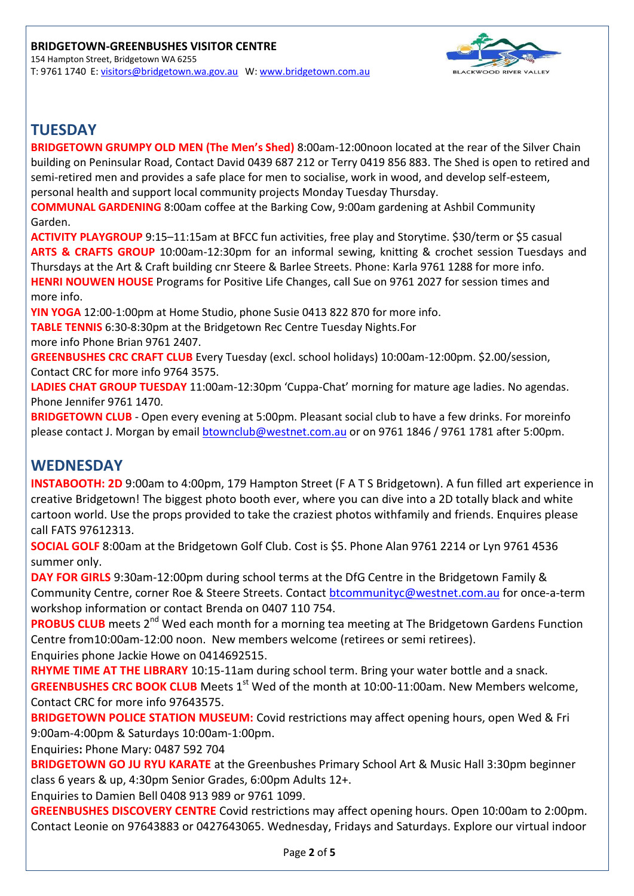

# **TUESDAY**

**BRIDGETOWN GRUMPY OLD MEN (The Men's Shed)** 8:00am-12:00noon located at the rear of the Silver Chain building on Peninsular Road, Contact David 0439 687 212 or Terry 0419 856 883. The Shed is open to retired and semi-retired men and provides a safe place for men to socialise, work in wood, and develop self-esteem, personal health and support local community projects Monday Tuesday Thursday.

**COMMUNAL GARDENING** 8:00am coffee at the Barking Cow, 9:00am gardening at Ashbil Community Garden.

**ACTIVITY PLAYGROUP** 9:15–11:15am at BFCC fun activities, free play and Storytime. \$30/term or \$5 casual **ARTS & CRAFTS GROUP** 10:00am-12:30pm for an informal sewing, knitting & crochet session Tuesdays and Thursdays at the Art & Craft building cnr Steere & Barlee Streets. Phone: Karla 9761 1288 for more info. **HENRI NOUWEN HOUSE** Programs for Positive Life Changes, call Sue on 9761 2027 for session times and more info.

**YIN YOGA** 12:00-1:00pm at Home Studio, phone Susie 0413 822 870 for more info.

**TABLE TENNIS** 6:30-8:30pm at the Bridgetown Rec Centre Tuesday Nights.For

more info Phone Brian 9761 2407.

**GREENBUSHES CRC CRAFT CLUB** Every Tuesday (excl. school holidays) 10:00am-12:00pm. \$2.00/session, Contact CRC for more info 9764 3575.

**LADIES CHAT GROUP TUESDAY** 11:00am-12:30pm 'Cuppa-Chat' morning for mature age ladies. No agendas. Phone Jennifer 9761 1470.

**BRIDGETOWN CLUB** - Open every evening at 5:00pm. Pleasant social club to have a few drinks. For moreinfo please contact J. Morgan by email [btownclub@westnet.com.au](mailto:btownclub@westnet.com.au) or on 9761 1846 / 9761 1781 after 5:00pm.

# **WEDNESDAY**

**INSTABOOTH: 2D** 9:00am to 4:00pm, 179 Hampton Street (F A T S Bridgetown). A fun filled art experience in creative Bridgetown! The biggest photo booth ever, where you can dive into a 2D totally black and white cartoon world. Use the props provided to take the craziest photos withfamily and friends. Enquires please call FATS 97612313.

**SOCIAL GOLF** 8:00am at the Bridgetown Golf Club. Cost is \$5. Phone Alan 9761 2214 or Lyn 9761 4536 summer only.

**DAY FOR GIRLS** 9:30am-12:00pm during school terms at the DfG Centre in the Bridgetown Family & Community Centre, corner Roe & Steere Streets. Contact **btcommunityc@westnet.com.au** for once-a-term workshop information or contact Brenda on 0407 110 754.

**PROBUS CLUB** meets 2<sup>nd</sup> Wed each month for a morning tea meeting at The Bridgetown Gardens Function Centre from10:00am-12:00 noon. New members welcome (retirees or semi retirees). Enquiries phone Jackie Howe on 0414692515.

**RHYME TIME AT THE LIBRARY** 10:15-11am during school term. Bring your water bottle and a snack. **GREENBUSHES CRC BOOK CLUB** Meets 1<sup>st</sup> Wed of the month at 10:00-11:00am. New Members welcome, Contact CRC for more info 97643575.

**BRIDGETOWN POLICE STATION MUSEUM:** Covid restrictions may affect opening hours, open Wed & Fri 9:00am-4:00pm & Saturdays 10:00am-1:00pm.

Enquiries**:** Phone Mary: 0487 592 704

**BRIDGETOWN GO JU RYU KARATE** at the Greenbushes Primary School Art & Music Hall 3:30pm beginner class 6 years & up, 4:30pm Senior Grades, 6:00pm Adults 12+.

Enquiries to Damien Bell 0408 913 989 or 9761 1099.

**GREENBUSHES DISCOVERY CENTRE** Covid restrictions may affect opening hours. Open 10:00am to 2:00pm. Contact Leonie on 97643883 or 0427643065. Wednesday, Fridays and Saturdays. Explore our virtual indoor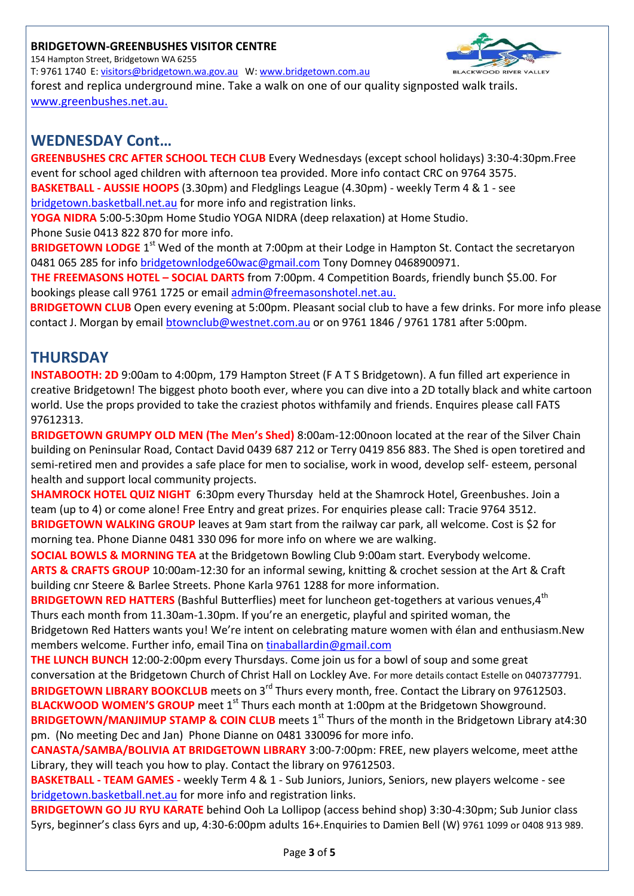#### **BRIDGETOWN-GREENBUSHES VISITOR CENTRE**

154 Hampton Street, Bridgetown WA 6255

T: 9761 1740 E: [visitors@bridgetown.wa.gov.au](mailto:visitors@bridgetown.wa.gov.au) W: [www.bridgetown.com.au](http://www.bridgetown.com.au/) forest and replica underground mine. Take a walk on one of our quality signposted walk trails. [www.greenbushes.net.au.](http://www.greenbushes.net.au/)

# **WEDNESDAY Cont…**

**GREENBUSHES CRC AFTER SCHOOL TECH CLUB** Every Wednesdays (except school holidays) 3:30-4:30pm.Free event for school aged children with afternoon tea provided. More info contact CRC on 9764 3575. **BASKETBALL - AUSSIE HOOPS** (3.30pm) and Fledglings League (4.30pm) - weekly Term 4 & 1 - see [bridgetown.basketball.net.au](http://bridgetown.basketball.net.au/) for more info and registration links.

**YOGA NIDRA** 5:00-5:30pm Home Studio YOGA NIDRA (deep relaxation) at Home Studio. Phone Susie 0413 822 870 for more info.

**BRIDGETOWN LODGE** 1<sup>st</sup> Wed of the month at 7:00pm at their Lodge in Hampton St. Contact the secretaryon 0481 065 285 for info [bridgetownlodge60wac@gmail.com](mailto:bridgetownlodge60wac@gmail.com) Tony Domney 0468900971.

**THE FREEMASONS HOTEL – SOCIAL DARTS** from 7:00pm. 4 Competition Boards, friendly bunch \$5.00. For bookings please call 9761 1725 or email [admin@freemasonshotel.net.au.](mailto:admin@freemasonshotel.net.au)

**BRIDGETOWN CLUB** Open every evening at 5:00pm. Pleasant social club to have a few drinks. For more info please contact J. Morgan by email [btownclub@westnet.com.au](mailto:btownclub@westnet.com.au) or on 9761 1846 / 9761 1781 after 5:00pm.

# **THURSDAY**

**INSTABOOTH: 2D** 9:00am to 4:00pm, 179 Hampton Street (F A T S Bridgetown). A fun filled art experience in creative Bridgetown! The biggest photo booth ever, where you can dive into a 2D totally black and white cartoon world. Use the props provided to take the craziest photos withfamily and friends. Enquires please call FATS 97612313.

**BRIDGETOWN GRUMPY OLD MEN (The Men's Shed)** 8:00am-12:00noon located at the rear of the Silver Chain building on Peninsular Road, Contact David 0439 687 212 or Terry 0419 856 883. The Shed is open toretired and semi-retired men and provides a safe place for men to socialise, work in wood, develop self- esteem, personal health and support local community projects.

**SHAMROCK HOTEL QUIZ NIGHT** 6:30pm every Thursday held at the Shamrock Hotel, Greenbushes. Join a team (up to 4) or come alone! Free Entry and great prizes. For enquiries please call: Tracie 9764 3512. **BRIDGETOWN WALKING GROUP** leaves at 9am start from the railway car park, all welcome. Cost is \$2 for morning tea. Phone Dianne 0481 330 096 for more info on where we are walking.

**SOCIAL BOWLS & MORNING TEA** at the Bridgetown Bowling Club 9:00am start. Everybody welcome. **ARTS & CRAFTS GROUP** 10:00am-12:30 for an informal sewing, knitting & crochet session at the Art & Craft building cnr Steere & Barlee Streets. Phone Karla 9761 1288 for more information.

**BRIDGETOWN RED HATTERS** (Bashful Butterflies) meet for luncheon get-togethers at various venues,4<sup>th</sup> Thurs each month from 11.30am-1.30pm. If you're an energetic, playful and spirited woman, the Bridgetown Red Hatters wants you! We're intent on celebrating mature women with élan and enthusiasm.New

members welcome. Further info, email Tina on [tinaballardin@gmail.com](mailto:tinaballardin@gmail.com)

**THE LUNCH BUNCH** 12:00-2:00pm every Thursdays. Come join us for a bowl of soup and some great conversation at the Bridgetown Church of Christ Hall on Lockley Ave. For more details contact Estelle on 0407377791. BRIDGETOWN LIBRARY BOOKCLUB meets on 3<sup>rd</sup> Thurs every month, free. Contact the Library on 97612503. **BLACKWOOD WOMEN'S GROUP** meet 1<sup>st</sup> Thurs each month at 1:00pm at the Bridgetown Showground.

**BRIDGETOWN/MANJIMUP STAMP & COIN CLUB** meets 1<sup>st</sup> Thurs of the month in the Bridgetown Library at4:30 pm. (No meeting Dec and Jan) Phone Dianne on 0481 330096 for more info.

**CANASTA/SAMBA/BOLIVIA AT BRIDGETOWN LIBRARY** 3:00-7:00pm: FREE, new players welcome, meet atthe Library, they will teach you how to play. Contact the library on 97612503.

**BASKETBALL - TEAM GAMES -** weekly Term 4 & 1 - Sub Juniors, Juniors, Seniors, new players welcome - see [bridgetown.basketball.net.au](http://bridgetown.basketball.net.au/) for more info and registration links.

**BRIDGETOWN GO JU RYU KARATE** behind Ooh La Lollipop (access behind shop) 3:30-4:30pm; Sub Junior class 5yrs, beginner's class 6yrs and up, 4:30-6:00pm adults 16+.Enquiries to Damien Bell (W) 9761 1099 or 0408 913 989.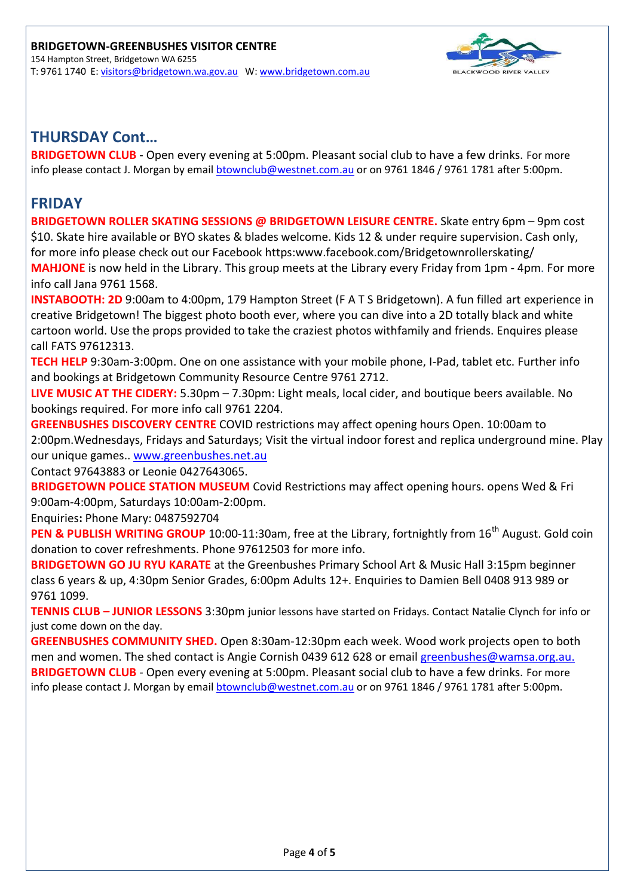

## **THURSDAY Cont…**

**BRIDGETOWN CLUB** - Open every evening at 5:00pm. Pleasant social club to have a few drinks. For more info please contact J. Morgan by email [btownclub@westnet.com.au](mailto:btownclub@westnet.com.au) or on 9761 1846 / 9761 1781 after 5:00pm.

## **FRIDAY**

**BRIDGETOWN ROLLER SKATING SESSIONS @ BRIDGETOWN LEISURE CENTRE.** Skate entry 6pm – 9pm cost \$10. Skate hire available or BYO skates & blades welcome. Kids 12 & under require supervision. Cash only, for more info please check out our Facebook htt[ps:www.facebook.com/Bridgetownrollerskating/](http://www.facebook.com/Bridgetownrollerskating/) **MAHJONE** is now held in the Library. This group meets at the Library every Friday from 1pm - 4pm. For more info call Jana 9761 1568.

**INSTABOOTH: 2D** 9:00am to 4:00pm, 179 Hampton Street (F A T S Bridgetown). A fun filled art experience in creative Bridgetown! The biggest photo booth ever, where you can dive into a 2D totally black and white cartoon world. Use the props provided to take the craziest photos withfamily and friends. Enquires please call FATS 97612313.

**TECH HELP** 9:30am-3:00pm. One on one assistance with your mobile phone, I-Pad, tablet etc. Further info and bookings at Bridgetown Community Resource Centre 9761 2712.

**LIVE MUSIC AT THE CIDERY:** 5.30pm – 7.30pm: Light meals, local cider, and boutique beers available. No bookings required. For more info call 9761 2204.

**GREENBUSHES DISCOVERY CENTRE** COVID restrictions may affect opening hours Open. 10:00am to 2:00pm.Wednesdays, Fridays and Saturdays; Visit the virtual indoor forest and replica underground mine. Play our unique games.. [www.greenbushes.net.au](http://www.greenbushes.net.au/)

Contact 97643883 or Leonie 0427643065.

**BRIDGETOWN POLICE STATION MUSEUM** Covid Restrictions may affect opening hours. opens Wed & Fri 9:00am-4:00pm, Saturdays 10:00am-2:00pm.

Enquiries**:** Phone Mary: 0487592704

**PEN & PUBLISH WRITING GROUP** 10:00-11:30am, free at the Library, fortnightly from 16<sup>th</sup> August. Gold coin donation to cover refreshments. Phone 97612503 for more info.

**BRIDGETOWN GO JU RYU KARATE** at the Greenbushes Primary School Art & Music Hall 3:15pm beginner class 6 years & up, 4:30pm Senior Grades, 6:00pm Adults 12+. Enquiries to Damien Bell 0408 913 989 or 9761 1099.

**TENNIS CLUB – JUNIOR LESSONS** 3:30pm junior lessons have started on Fridays. Contact Natalie Clynch for info or just come down on the day.

**GREENBUSHES COMMUNITY SHED.** Open 8:30am-12:30pm each week. Wood work projects open to both men and women. The shed contact is Angie Cornish 0439 612 628 or email [greenbushes@wamsa.org.au.](mailto:greenbushes@wamsa.org.au) **BRIDGETOWN CLUB** - Open every evening at 5:00pm. Pleasant social club to have a few drinks. For more info please contact J. Morgan by email [btownclub@westnet.com.au](mailto:btownclub@westnet.com.au) or on 9761 1846 / 9761 1781 after 5:00pm.